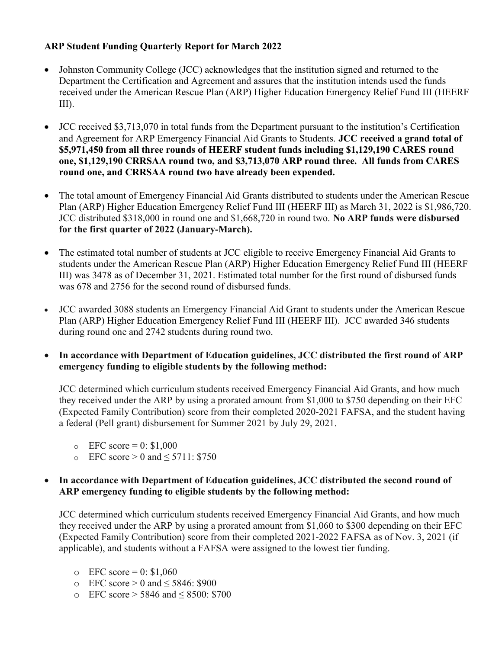## ARP Student Funding Quarterly Report for March 2022

- Johnston Community College (JCC) acknowledges that the institution signed and returned to the Department the Certification and Agreement and assures that the institution intends used the funds received under the American Rescue Plan (ARP) Higher Education Emergency Relief Fund III (HEERF III).
- JCC received \$3,713,070 in total funds from the Department pursuant to the institution's Certification and Agreement for ARP Emergency Financial Aid Grants to Students. JCC received a grand total of \$5,971,450 from all three rounds of HEERF student funds including \$1,129,190 CARES round one, \$1,129,190 CRRSAA round two, and \$3,713,070 ARP round three. All funds from CARES round one, and CRRSAA round two have already been expended.
- The total amount of Emergency Financial Aid Grants distributed to students under the American Rescue Plan (ARP) Higher Education Emergency Relief Fund III (HEERF III) as March 31, 2022 is \$1,986,720. JCC distributed \$318,000 in round one and \$1,668,720 in round two. No ARP funds were disbursed for the first quarter of 2022 (January-March).
- The estimated total number of students at JCC eligible to receive Emergency Financial Aid Grants to students under the American Rescue Plan (ARP) Higher Education Emergency Relief Fund III (HEERF III) was 3478 as of December 31, 2021. Estimated total number for the first round of disbursed funds was 678 and 2756 for the second round of disbursed funds.
- JCC awarded 3088 students an Emergency Financial Aid Grant to students under the American Rescue Plan (ARP) Higher Education Emergency Relief Fund III (HEERF III). JCC awarded 346 students during round one and 2742 students during round two.
- In accordance with Department of Education guidelines, JCC distributed the first round of ARP emergency funding to eligible students by the following method:

JCC determined which curriculum students received Emergency Financial Aid Grants, and how much they received under the ARP by using a prorated amount from \$1,000 to \$750 depending on their EFC (Expected Family Contribution) score from their completed 2020-2021 FAFSA, and the student having a federal (Pell grant) disbursement for Summer 2021 by July 29, 2021.

- $\epsilon$  EFC score = 0: \$1,000
- $\circ$  EFC score > 0 and < 5711: \$750

## • In accordance with Department of Education guidelines, JCC distributed the second round of ARP emergency funding to eligible students by the following method:

JCC determined which curriculum students received Emergency Financial Aid Grants, and how much they received under the ARP by using a prorated amount from \$1,060 to \$300 depending on their EFC (Expected Family Contribution) score from their completed 2021-2022 FAFSA as of Nov. 3, 2021 (if applicable), and students without a FAFSA were assigned to the lowest tier funding.

- $\degree$  EFC score = 0: \$1,060
- $\circ$  EFC score > 0 and < 5846: \$900
- o EFC score > 5846 and ≤ 8500: \$700